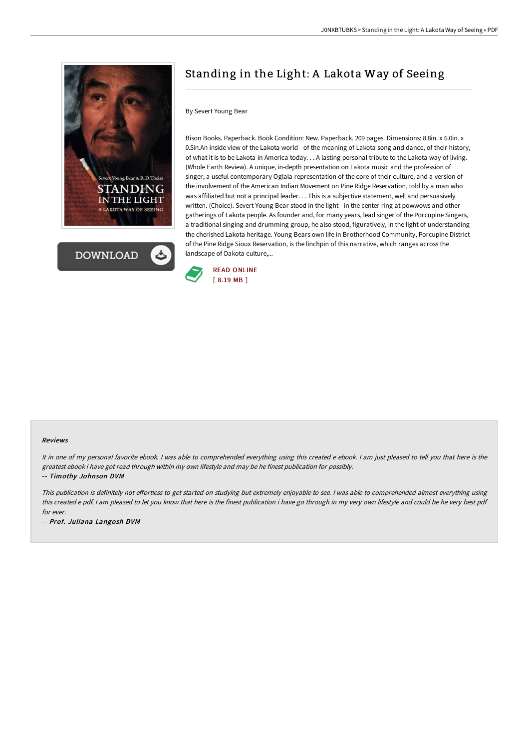



# Standing in the Light: A Lakota Way of Seeing

#### By Severt Young Bear

Bison Books. Paperback. Book Condition: New. Paperback. 209 pages. Dimensions: 8.8in. x 6.0in. x 0.5in.An inside view of the Lakota world - of the meaning of Lakota song and dance, of their history, of what it is to be Lakota in America today. . . A lasting personal tribute to the Lakota way of living. (Whole Earth Review). A unique, in-depth presentation on Lakota music and the profession of singer, a useful contemporary Oglala representation of the core of their culture, and a version of the involvement of the American Indian Movement on Pine Ridge Reservation, told by a man who was affiliated but not a principal leader. . . This is a subjective statement, well and persuasively written. (Choice). Severt Young Bear stood in the light - in the center ring at powwows and other gatherings of Lakota people. As founder and, for many years, lead singer of the Porcupine Singers, a traditional singing and drumming group, he also stood, figuratively, in the light of understanding the cherished Lakota heritage. Young Bears own life in Brotherhood Community, Porcupine District of the Pine Ridge Sioux Reservation, is the linchpin of this narrative, which ranges across the landscape of Dakota culture,...



#### Reviews

It in one of my personal favorite ebook. I was able to comprehended everything using this created e ebook. I am just pleased to tell you that here is the greatest ebook i have got read through within my own lifestyle and may be he finest publication for possibly. -- Timothy Johnson DVM

This publication is definitely not effortless to get started on studying but extremely enjoyable to see. I was able to comprehended almost everything using this created <sup>e</sup> pdf. <sup>I</sup> am pleased to let you know that here is the finest publication i have go through in my very own lifestyle and could be he very best pdf for ever.

-- Prof. Juliana Langosh DVM